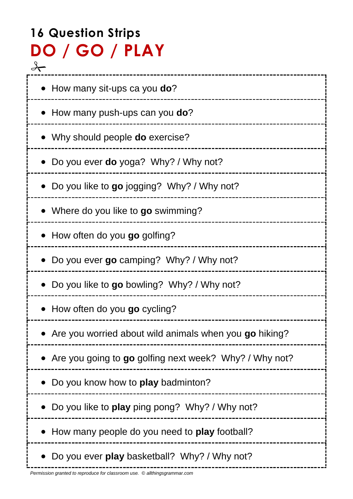# **16 Question Strips DO / GO / PLAY**  $\frac{8}{\sqrt{2}}$

| • How many sit-ups ca you do?                            |
|----------------------------------------------------------|
| How many push-ups can you do?                            |
| • Why should people <b>do</b> exercise?                  |
| Do you ever <b>do</b> yoga? Why? / Why not?              |
| • Do you like to go jogging? Why? / Why not?             |
| Where do you like to go swimming?                        |
| How often do you go golfing?                             |
| Do you ever go camping? Why? / Why not?                  |
| Do you like to go bowling? Why? / Why not?               |
| How often do you go cycling?                             |
| Are you worried about wild animals when you go hiking?   |
| • Are you going to go golfing next week? Why? / Why not? |
| Do you know how to <b>play</b> badminton?                |
| Do you like to play ping pong? Why? / Why not?           |
| How many people do you need to play football?            |
| Do you ever play basketball? Why? / Why not?             |

---------------

į